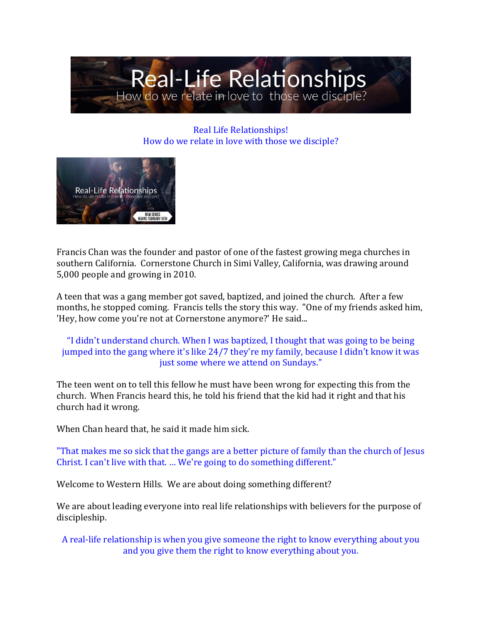

Real Life Relationships! How do we relate in love with those we disciple?



Francis Chan was the founder and pastor of one of the fastest growing mega churches in southern California. Cornerstone Church in Simi Valley, California, was drawing around 5,000 people and growing in 2010.

A teen that was a gang member got saved, baptized, and joined the church. After a few months, he stopped coming. Francis tells the story this way. "One of my friends asked him, 'Hey, how come you're not at Cornerstone anymore?' He said...

### "I didn't understand church. When I was baptized, I thought that was going to be being jumped into the gang where it's like 24/7 they're my family, because I didn't know it was just some where we attend on Sundays."

The teen went on to tell this fellow he must have been wrong for expecting this from the church. When Francis heard this, he told his friend that the kid had it right and that his church had it wrong.

When Chan heard that, he said it made him sick.

"That makes me so sick that the gangs are a better picture of family than the church of Jesus Christ. I can't live with that. … We're going to do something different."

Welcome to Western Hills. We are about doing something different?

We are about leading everyone into real life relationships with believers for the purpose of discipleship.

A real-life relationship is when you give someone the right to know everything about you and you give them the right to know everything about you.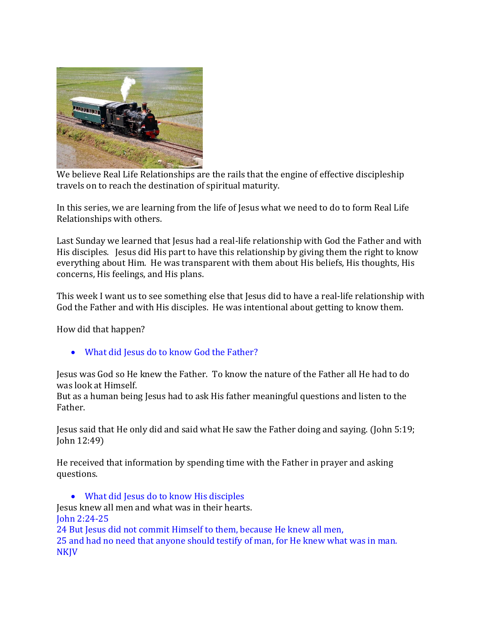

We believe Real Life Relationships are the rails that the engine of effective discipleship travels on to reach the destination of spiritual maturity.

In this series, we are learning from the life of Jesus what we need to do to form Real Life Relationships with others.

Last Sunday we learned that Jesus had a real-life relationship with God the Father and with His disciples. Jesus did His part to have this relationship by giving them the right to know everything about Him. He was transparent with them about His beliefs, His thoughts, His concerns, His feelings, and His plans.

This week I want us to see something else that Jesus did to have a real-life relationship with God the Father and with His disciples. He was intentional about getting to know them.

How did that happen?

• What did Jesus do to know God the Father?

Jesus was God so He knew the Father. To know the nature of the Father all He had to do was look at Himself.

But as a human being Jesus had to ask His father meaningful questions and listen to the Father.

Jesus said that He only did and said what He saw the Father doing and saying. (John 5:19; John 12:49)

He received that information by spending time with the Father in prayer and asking questions.

• What did Jesus do to know His disciples

Jesus knew all men and what was in their hearts. John 2:24-25 24 But Jesus did not commit Himself to them, because He knew all men, 25 and had no need that anyone should testify of man, for He knew what was in man. NKJV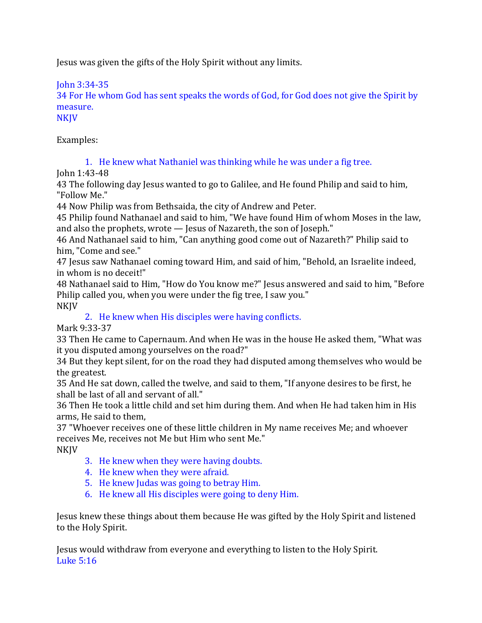Jesus was given the gifts of the Holy Spirit without any limits.

John 3:34-35

34 For He whom God has sent speaks the words of God, for God does not give the Spirit by measure.

**NKJV** 

Examples:

1. He knew what Nathaniel was thinking while he was under a fig tree.

John 1:43-48

43 The following day Jesus wanted to go to Galilee, and He found Philip and said to him, "Follow Me."

44 Now Philip was from Bethsaida, the city of Andrew and Peter.

45 Philip found Nathanael and said to him, "We have found Him of whom Moses in the law, and also the prophets, wrote — Jesus of Nazareth, the son of Joseph."

46 And Nathanael said to him, "Can anything good come out of Nazareth?" Philip said to him, "Come and see."

47 Jesus saw Nathanael coming toward Him, and said of him, "Behold, an Israelite indeed, in whom is no deceit!"

48 Nathanael said to Him, "How do You know me?" Jesus answered and said to him, "Before Philip called you, when you were under the fig tree, I saw you." NKJV

# 2. He knew when His disciples were having conflicts.

Mark 9:33-37

33 Then He came to Capernaum. And when He was in the house He asked them, "What was it you disputed among yourselves on the road?"

34 But they kept silent, for on the road they had disputed among themselves who would be the greatest.

35 And He sat down, called the twelve, and said to them, "If anyone desires to be first, he shall be last of all and servant of all."

36 Then He took a little child and set him during them. And when He had taken him in His arms, He said to them,

37 "Whoever receives one of these little children in My name receives Me; and whoever receives Me, receives not Me but Him who sent Me."

NKJV

- 3. He knew when they were having doubts.
- 4. He knew when they were afraid.
- 5. He knew Judas was going to betray Him.
- 6. He knew all His disciples were going to deny Him.

Jesus knew these things about them because He was gifted by the Holy Spirit and listened to the Holy Spirit.

Jesus would withdraw from everyone and everything to listen to the Holy Spirit. Luke 5:16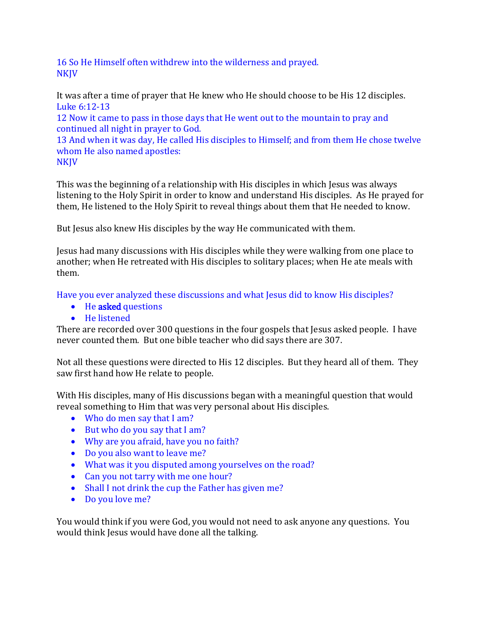16 So He Himself often withdrew into the wilderness and prayed. NKJV

It was after a time of prayer that He knew who He should choose to be His 12 disciples. Luke 6:12-13

12 Now it came to pass in those days that He went out to the mountain to pray and continued all night in prayer to God.

13 And when it was day, He called His disciples to Himself; and from them He chose twelve whom He also named apostles:

**NKJV** 

This was the beginning of a relationship with His disciples in which Jesus was always listening to the Holy Spirit in order to know and understand His disciples. As He prayed for them, He listened to the Holy Spirit to reveal things about them that He needed to know.

But Jesus also knew His disciples by the way He communicated with them.

Jesus had many discussions with His disciples while they were walking from one place to another; when He retreated with His disciples to solitary places; when He ate meals with them.

Have you ever analyzed these discussions and what Jesus did to know His disciples?

- He asked questions
- He listened

There are recorded over 300 questions in the four gospels that Jesus asked people. I have never counted them. But one bible teacher who did says there are 307.

Not all these questions were directed to His 12 disciples. But they heard all of them. They saw first hand how He relate to people.

With His disciples, many of His discussions began with a meaningful question that would reveal something to Him that was very personal about His disciples.

- Who do men say that I am?
- But who do you say that I am?
- Why are you afraid, have you no faith?
- Do you also want to leave me?
- What was it you disputed among yourselves on the road?
- Can you not tarry with me one hour?
- Shall I not drink the cup the Father has given me?
- Do you love me?

You would think if you were God, you would not need to ask anyone any questions. You would think Jesus would have done all the talking.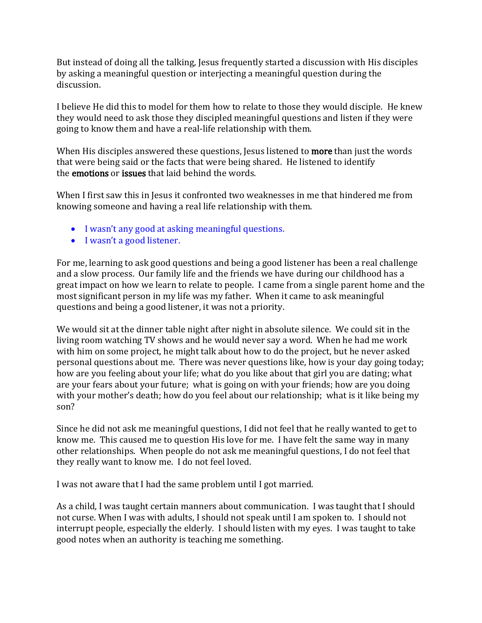But instead of doing all the talking, Jesus frequently started a discussion with His disciples by asking a meaningful question or interjecting a meaningful question during the discussion.

I believe He did this to model for them how to relate to those they would disciple. He knew they would need to ask those they discipled meaningful questions and listen if they were going to know them and have a real-life relationship with them.

When His disciples answered these questions, Jesus listened to **more** than just the words that were being said or the facts that were being shared. He listened to identify the emotions or issues that laid behind the words.

When I first saw this in Jesus it confronted two weaknesses in me that hindered me from knowing someone and having a real life relationship with them.

- I wasn't any good at asking meaningful questions.
- I wasn't a good listener.

For me, learning to ask good questions and being a good listener has been a real challenge and a slow process. Our family life and the friends we have during our childhood has a great impact on how we learn to relate to people. I came from a single parent home and the most significant person in my life was my father. When it came to ask meaningful questions and being a good listener, it was not a priority.

We would sit at the dinner table night after night in absolute silence. We could sit in the living room watching TV shows and he would never say a word. When he had me work with him on some project, he might talk about how to do the project, but he never asked personal questions about me. There was never questions like, how is your day going today; how are you feeling about your life; what do you like about that girl you are dating; what are your fears about your future; what is going on with your friends; how are you doing with your mother's death; how do you feel about our relationship; what is it like being my son?

Since he did not ask me meaningful questions, I did not feel that he really wanted to get to know me. This caused me to question His love for me. I have felt the same way in many other relationships. When people do not ask me meaningful questions, I do not feel that they really want to know me. I do not feel loved.

I was not aware that I had the same problem until I got married.

As a child, I was taught certain manners about communication. I was taught that I should not curse. When I was with adults, I should not speak until I am spoken to. I should not interrupt people, especially the elderly. I should listen with my eyes. I was taught to take good notes when an authority is teaching me something.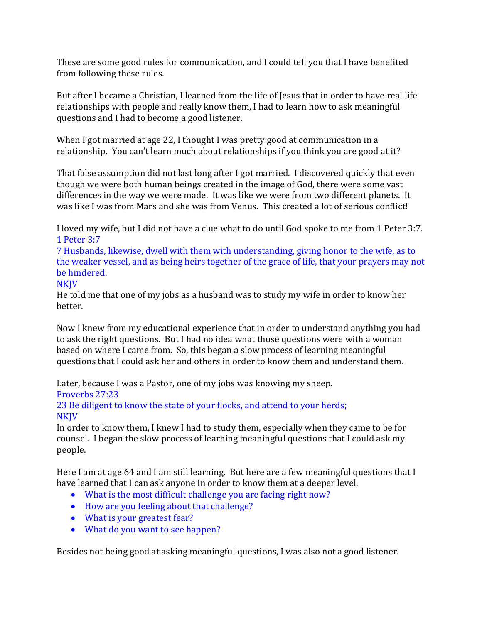These are some good rules for communication, and I could tell you that I have benefited from following these rules.

But after I became a Christian, I learned from the life of Jesus that in order to have real life relationships with people and really know them, I had to learn how to ask meaningful questions and I had to become a good listener.

When I got married at age 22, I thought I was pretty good at communication in a relationship. You can't learn much about relationships if you think you are good at it?

That false assumption did not last long after I got married. I discovered quickly that even though we were both human beings created in the image of God, there were some vast differences in the way we were made. It was like we were from two different planets. It was like I was from Mars and she was from Venus. This created a lot of serious conflict!

I loved my wife, but I did not have a clue what to do until God spoke to me from 1 Peter 3:7. 1 Peter 3:7

7 Husbands, likewise, dwell with them with understanding, giving honor to the wife, as to the weaker vessel, and as being heirs together of the grace of life, that your prayers may not be hindered.

### **NKIV**

He told me that one of my jobs as a husband was to study my wife in order to know her better.

Now I knew from my educational experience that in order to understand anything you had to ask the right questions. But I had no idea what those questions were with a woman based on where I came from. So, this began a slow process of learning meaningful questions that I could ask her and others in order to know them and understand them.

Later, because I was a Pastor, one of my jobs was knowing my sheep.

Proverbs 27:23

23 Be diligent to know the state of your flocks, and attend to your herds; **NKJV** 

In order to know them, I knew I had to study them, especially when they came to be for counsel. I began the slow process of learning meaningful questions that I could ask my people.

Here I am at age 64 and I am still learning. But here are a few meaningful questions that I have learned that I can ask anyone in order to know them at a deeper level.

- What is the most difficult challenge you are facing right now?
- How are you feeling about that challenge?
- What is your greatest fear?
- What do you want to see happen?

Besides not being good at asking meaningful questions, I was also not a good listener.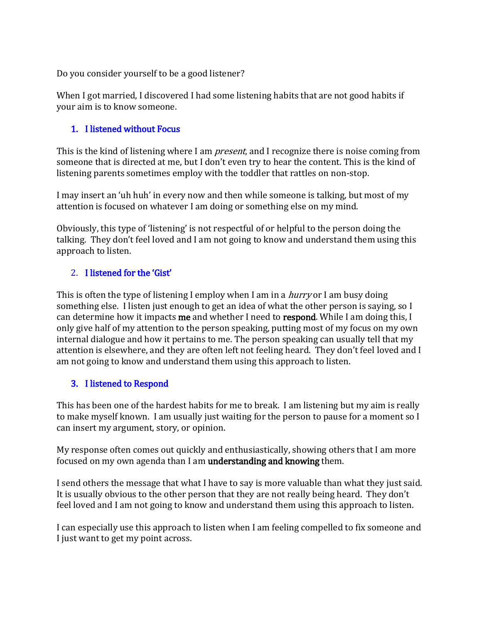Do you consider yourself to be a good listener?

When I got married, I discovered I had some listening habits that are not good habits if your aim is to know someone.

## 1. I listened without Focus

This is the kind of listening where I am *present*, and I recognize there is noise coming from someone that is directed at me, but I don't even try to hear the content. This is the kind of listening parents sometimes employ with the toddler that rattles on non-stop.

I may insert an 'uh huh' in every now and then while someone is talking, but most of my attention is focused on whatever I am doing or something else on my mind.

Obviously, this type of 'listening' is not respectful of or helpful to the person doing the talking. They don't feel loved and I am not going to know and understand them using this approach to listen.

### 2. I listened for the 'Gist'

This is often the type of listening I employ when I am in a *hurry* or I am busy doing something else. I listen just enough to get an idea of what the other person is saying, so I can determine how it impacts me and whether I need to respond. While I am doing this, I only give half of my attention to the person speaking, putting most of my focus on my own internal dialogue and how it pertains to me. The person speaking can usually tell that my attention is elsewhere, and they are often left not feeling heard. They don't feel loved and I am not going to know and understand them using this approach to listen.

### 3. I listened to Respond

This has been one of the hardest habits for me to break. I am listening but my aim is really to make myself known. I am usually just waiting for the person to pause for a moment so I can insert my argument, story, or opinion.

My response often comes out quickly and enthusiastically, showing others that I am more focused on my own agenda than I am understanding and knowing them.

I send others the message that what I have to say is more valuable than what they just said. It is usually obvious to the other person that they are not really being heard. They don't feel loved and I am not going to know and understand them using this approach to listen.

I can especially use this approach to listen when I am feeling compelled to fix someone and I just want to get my point across.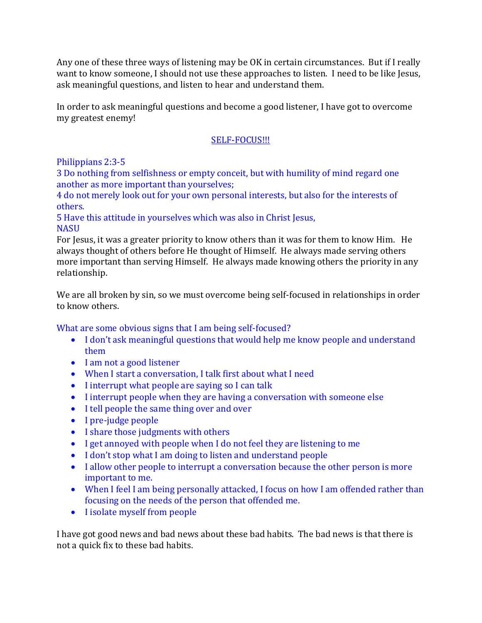Any one of these three ways of listening may be OK in certain circumstances. But if I really want to know someone, I should not use these approaches to listen. I need to be like Jesus, ask meaningful questions, and listen to hear and understand them.

In order to ask meaningful questions and become a good listener, I have got to overcome my greatest enemy!

### SELF-FOCUS!!!

### Philippians 2:3-5

3 Do nothing from selfishness or empty conceit, but with humility of mind regard one another as more important than yourselves;

4 do not merely look out for your own personal interests, but also for the interests of others.

5 Have this attitude in yourselves which was also in Christ Jesus, **NASU** 

For Jesus, it was a greater priority to know others than it was for them to know Him. He always thought of others before He thought of Himself. He always made serving others more important than serving Himself. He always made knowing others the priority in any relationship.

We are all broken by sin, so we must overcome being self-focused in relationships in order to know others.

What are some obvious signs that I am being self-focused?

- I don't ask meaningful questions that would help me know people and understand them
- I am not a good listener
- When I start a conversation, I talk first about what I need
- I interrupt what people are saying so I can talk
- I interrupt people when they are having a conversation with someone else
- I tell people the same thing over and over
- I pre-judge people
- I share those judgments with others
- I get annoyed with people when I do not feel they are listening to me
- I don't stop what I am doing to listen and understand people
- I allow other people to interrupt a conversation because the other person is more important to me.
- When I feel I am being personally attacked, I focus on how I am offended rather than focusing on the needs of the person that offended me.
- I isolate myself from people

I have got good news and bad news about these bad habits. The bad news is that there is not a quick fix to these bad habits.